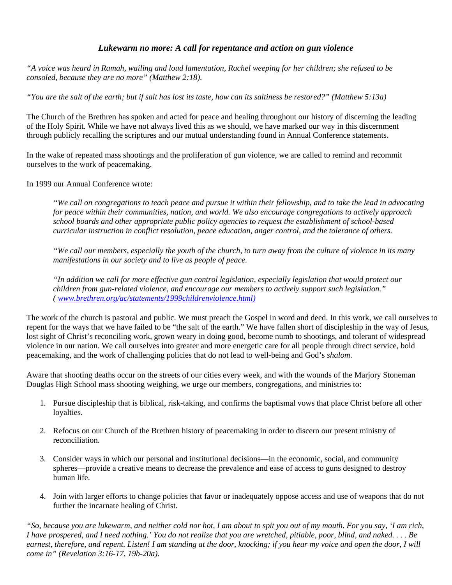## *Lukewarm no more: A call for repentance and action on gun violence*

*"A voice was heard in Ramah, wailing and loud lamentation, Rachel weeping for her children; she refused to be consoled, because they are no more" (Matthew 2:18).* 

*"You are the salt of the earth; but if salt has lost its taste, how can its saltiness be restored?" (Matthew 5:13a)*

The Church of the Brethren has spoken and acted for peace and healing throughout our history of discerning the leading of the Holy Spirit. While we have not always lived this as we should, we have marked our way in this discernment through publicly recalling the scriptures and our mutual understanding found in Annual Conference statements.

In the wake of repeated mass shootings and the proliferation of gun violence, we are called to remind and recommit ourselves to the work of peacemaking.

In 1999 our Annual Conference wrote:

*"We call on congregations to teach peace and pursue it within their fellowship, and to take the lead in advocating for peace within their communities, nation, and world. We also encourage congregations to actively approach school boards and other appropriate public policy agencies to request the establishment of school-based curricular instruction in conflict resolution, peace education, anger control, and the tolerance of others.* 

*"We call our members, especially the youth of the church, to turn away from the culture of violence in its many manifestations in our society and to live as people of peace.* 

*"In addition we call for more effective gun control legislation, especially legislation that would protect our children from gun-related violence, and encourage our members to actively support such legislation." ( www.brethren.org/ac/statements/1999childrenviolence.html)*

The work of the church is pastoral and public. We must preach the Gospel in word and deed. In this work, we call ourselves to repent for the ways that we have failed to be "the salt of the earth." We have fallen short of discipleship in the way of Jesus, lost sight of Christ's reconciling work, grown weary in doing good, become numb to shootings, and tolerant of widespread violence in our nation. We call ourselves into greater and more energetic care for all people through direct service, bold peacemaking, and the work of challenging policies that do not lead to well-being and God's *shalom*.

Aware that shooting deaths occur on the streets of our cities every week, and with the wounds of the Marjory Stoneman Douglas High School mass shooting weighing, we urge our members, congregations, and ministries to:

- 1. Pursue discipleship that is biblical, risk-taking, and confirms the baptismal vows that place Christ before all other loyalties.
- 2. Refocus on our Church of the Brethren history of peacemaking in order to discern our present ministry of reconciliation.
- 3. Consider ways in which our personal and institutional decisions—in the economic, social, and community spheres—provide a creative means to decrease the prevalence and ease of access to guns designed to destroy human life.
- 4. Join with larger efforts to change policies that favor or inadequately oppose access and use of weapons that do not further the incarnate healing of Christ.

*"So, because you are lukewarm, and neither cold nor hot, I am about to spit you out of my mouth. For you say, 'I am rich, I have prospered, and I need nothing.' You do not realize that you are wretched, pitiable, poor, blind, and naked. . . . Be earnest, therefore, and repent. Listen! I am standing at the door, knocking; if you hear my voice and open the door, I will come in" (Revelation 3:16-17, 19b-20a)*.